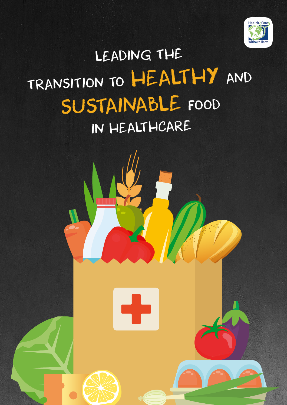

# LEADING THE TRANSITION TO HEALTHY AND SUSTAINABLE FOOD IN HEALTHCARE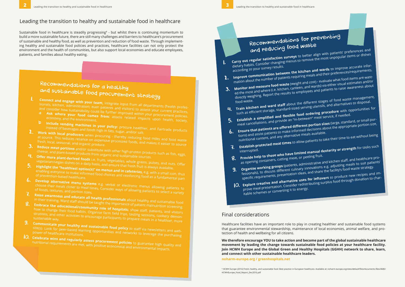Sustainable food in healthcare is steadily progressing**<sup>1</sup>** - but whilst there is continuing momentum to build a more sustainable future, there are still many challenges and barriers to healthcare's procurement of sustainable and healthy food, as well as prevention and reduction of food waste. Through implementing healthy and sustainable food policies and practices, healthcare facilities can not only protect the environment and the health of communities, but also support local economies and educate employees, patients, and families about healthy eating.

## Recommendations for a healthy and sustainable food procurement strategy

dietary habits. Consider results.<br>according to your survey results.<br>**1. Improve communication between the kitchen and wards** to improve accurate infor-<br>1. **Improve communication between the kitchen and their** preferences/r mation about the number of patients requiring meals and their preferences/requirements.

## Recommendations for preventing and reducing food waste

**Carry out regular satisfaction surveys** to better align with patients' preferences and dietary bar regard burstweened surveys to better and more patients. Preferences and

### Leading the transition to healthy and sustainable food in healthcare

3. **Monitor and measure food waste** (weight and cost) - evaluate what food items are wasted the most and where (i.e. kitchen, canteen, and wards) via either visual estimates and/or

directly weightlie. Nep-<br>food waste.<br>**4. Train kitchen and ward staff** about the different stages of food waste management,<br>the proportunities for the process of the standard-sized serving utensils, and alternatives to dis

such as efficient storage, standard-sized serving utensils, and alternatives to disposal. **5. Establish a simplified and flexible food ordering procedure** with opportunities for **5. Establish a simplified and flexible food ordering procedure** with opportunities for **5. 1999 1999 1999 1999 1999 1** 

**6. Ensure that patients are offered different portion sizes** (large, standard, or small por-<br> **6. Ensure that patients are offered different portion sizes** (large, standard, or small por-<br>
increases available. The area that patients are once a uncremental about the appropriate portion size,

- 1. **Connect and engage with your team,** integrate input from all departments (health professionals, kitchen, administration; even patients and visitors) to assess your current practices,
- and consider how sustainability could be further improved within your procurement policies. **a Ask where your food comes from:** assess related impacts upon health, society,<br>economy, and the environment.
- **b Include vending machines in your policy:** procure healthier, and Fairtrade products instead of beverages and foods high in fats, sugar, and/or salt.
- 2. **Work with local producers** when procuring thereby reducing food miles and food waste at source. This reduces reliance on expensive processed foods, and miles and food waste<br>fresh, local, seasonal, and organic produce.
- 3. **Reduce meat portions** and/or substitute with other high-protein products such as fish, eggs, cheese, and plant-based products from organic and sustainable sources
- cheese, and plant-based products from organic and sustainable sources. 4. **Offer more plant-derived foods** i.e. fruits, vegetables, whole grains, pulses, and nuts. Offer<br>Vegetarian/vegan dishes on a daily basis, and ensure that fresh fruit is always available.
- vegetarian/vegan dishes on a daily basis, and ensure that fresh fruit is always available. **Highlight the "healthiest option(s)" on menus and in cafeterias, e.g. with a small icon, thus**
- enabling everyone to make informed food choices a**nd in cafeterias,** e.g. with a small icon, thus<br>of prevention-based healthcare.<br>Dave to althcare.
- **6. Develop alternative menu systems** e.g. verbal or electronic menus allowing patients to choose their meals closer to meal times. Consider ways of allowing patients to select a variety of foods, textures, and portion s choose their meals closer to meal times. Consider ways of allowing allowing patients to<br>of foods, textures, and portion sizes.<br>Paise s
- 7. **Raise awareness and educate all health professionals**  about healthy and sustainable food
- in their training. Ward staff should be taught the importance of patient malnutrition screening. 8. **Embrace the educational/community role of hospitals**; show staff, patients, and visitors<br>how to change their food habits. Organise farm field trips to visit and visitors how to change their food habits. Organise farm field trips, tasting sessions, cookery demon-<br>strations, and other activities to encourage particinants to press ons, cookery demonstrations, and other activities to encourage participants to prepare meals in a healthier, more sustainable way.
- 9. **Communicate your healthy and sustainable food policy** to staff via newsletters and website(s). Look for peer-based learning opportunities and networks to leverage the purchasing<br>power of healthcare institutions.<br>Calaby in the purchasing
- 10. **Celebrate wins and regularly assess procurement policies** nutritional requirements are met, with positive economical and environmental impacts. to guarantee high quality and

10. **Explore creative and alternative uses for leftovers** to produce new recipes and improve meal presentation. Consider redistributing surplus food through donation to char-

- -
- 
- directly weighing. Report the results to employees and patients to raise awareness about food waste.
	-
	-
	- meal cancellations, and provide an "in-between" meal service, if needed.
	- nutritional content, and any alternative meals available. **Establish protected meal times** to allow patients to take their time to eat without being
	- interrupted.
	- as opening containers, cutting meat, or peeling fruit.
	-
	- specific requirements, presentation ideas, and share the facility's food waste strategy.
	- itable schemes or converting it to energy.

8. **Provide help to those who have limited manual dexterity or strength** for tasks suc<sup>h</sup>

**Organise working groups** (patients, administrative and kitchen staff, and healthcare pro-**Forganise working of superpenetics, adjusting and increasing meals to suit patients'**<br>fessionals), to discuss different culinary innovations e.g. adjusting meals to suit patients'

Healthcare facilities have an important role to play in creating healthier and sustainable food systems that guarantee environmental stewardship, maintenance of local economies, animal welfare, and protection of health and wellbeing for all citizens.

#### Final considerations

**We therefore encourage YOU to take action and become part of the global sustainable healthcare movement by leading the change towards sustainable food policies at your healthcare facility. Join HCWH Europe and the Global Green and Healthy Hospitals (GGHH) network to share, learn, and connect with other sustainable healthcare leaders.**

**[noharm-europe.org](http://noharm-europe.org) / [greenhospitals.net](http://greenhospitals.net)**